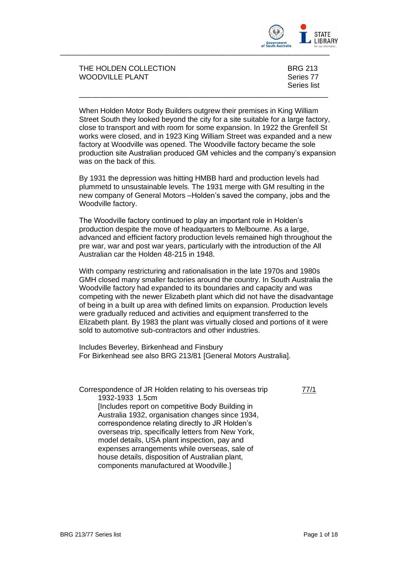

THE HOLDEN COLLECTION BRG 213 WOODVILLE PLANT **Series 77** 

Series list

When Holden Motor Body Builders outgrew their premises in King William Street South they looked beyond the city for a site suitable for a large factory, close to transport and with room for some expansion. In 1922 the Grenfell St works were closed, and in 1923 King William Street was expanded and a new factory at Woodville was opened. The Woodville factory became the sole production site Australian produced GM vehicles and the company's expansion was on the back of this.

\_\_\_\_\_\_\_\_\_\_\_\_\_\_\_\_\_\_\_\_\_\_\_\_\_\_\_\_\_\_\_\_\_\_\_\_\_\_\_\_\_\_\_\_\_\_\_\_\_\_\_\_\_\_\_\_\_\_\_\_\_

By 1931 the depression was hitting HMBB hard and production levels had plummetd to unsustainable levels. The 1931 merge with GM resulting in the new company of General Motors –Holden's saved the company, jobs and the Woodville factory.

The Woodville factory continued to play an important role in Holden's production despite the move of headquarters to Melbourne. As a large, advanced and efficient factory production levels remained high throughout the pre war, war and post war years, particularly with the introduction of the All Australian car the Holden 48-215 in 1948.

With company restricturing and rationalisation in the late 1970s and 1980s GMH closed many smaller factories around the country. In South Australia the Woodville factory had expanded to its boundaries and capacity and was competing with the newer Elizabeth plant which did not have the disadvantage of being in a built up area with defined limits on expansion. Production levels were gradually reduced and activities and equipment transferred to the Elizabeth plant. By 1983 the plant was virtually closed and portions of it were sold to automotive sub-contractors and other industries.

Includes Beverley, Birkenhead and Finsbury For Birkenhead see also BRG 213/81 [General Motors Australia].

Correspondence of JR Holden relating to his overseas trip 1932-1933 1.5cm [Includes report on competitive Body Building in Australia 1932, organisation changes since 1934, correspondence relating directly to JR Holden's overseas trip, specifically letters from New York, model details, USA plant inspection, pay and expenses arrangements while overseas, sale of house details, disposition of Australian plant, components manufactured at Woodville.]

77/1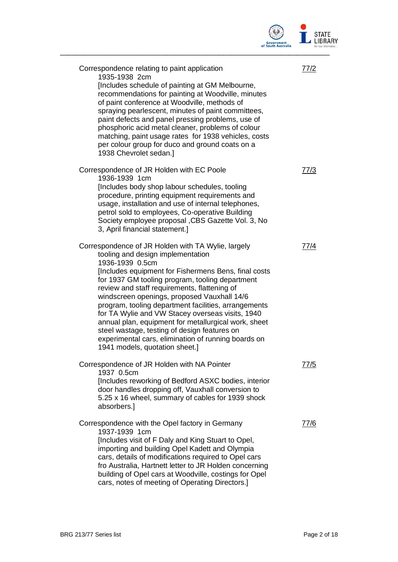

| Correspondence relating to paint application<br>1935-1938 2cm<br>[Includes schedule of painting at GM Melbourne,<br>recommendations for painting at Woodville, minutes<br>of paint conference at Woodville, methods of<br>spraying pearlescent, minutes of paint committees,<br>paint defects and panel pressing problems, use of<br>phosphoric acid metal cleaner, problems of colour<br>matching, paint usage rates for 1938 vehicles, costs<br>per colour group for duco and ground coats on a<br>1938 Chevrolet sedan.]                                                                                                       | 77/2 |
|-----------------------------------------------------------------------------------------------------------------------------------------------------------------------------------------------------------------------------------------------------------------------------------------------------------------------------------------------------------------------------------------------------------------------------------------------------------------------------------------------------------------------------------------------------------------------------------------------------------------------------------|------|
| Correspondence of JR Holden with EC Poole<br>1936-1939 1cm<br>[Includes body shop labour schedules, tooling<br>procedure, printing equipment requirements and<br>usage, installation and use of internal telephones,<br>petrol sold to employees, Co-operative Building<br>Society employee proposal , CBS Gazette Vol. 3, No<br>3, April financial statement.]                                                                                                                                                                                                                                                                   | 77/3 |
| Correspondence of JR Holden with TA Wylie, largely<br>tooling and design implementation<br>1936-1939 0.5cm<br>[Includes equipment for Fishermens Bens, final costs<br>for 1937 GM tooling program, tooling department<br>review and staff requirements, flattening of<br>windscreen openings, proposed Vauxhall 14/6<br>program, tooling department facilities, arrangements<br>for TA Wylie and VW Stacey overseas visits, 1940<br>annual plan, equipment for metallurgical work, sheet<br>steel wastage, testing of design features on<br>experimental cars, elimination of running boards on<br>1941 models, quotation sheet.] | 77/4 |
| Correspondence of JR Holden with NA Pointer<br>1937 0.5cm<br>[Includes reworking of Bedford ASXC bodies, interior<br>door handles dropping off, Vauxhall conversion to<br>5.25 x 16 wheel, summary of cables for 1939 shock<br>absorbers.]                                                                                                                                                                                                                                                                                                                                                                                        | 77/5 |
| Correspondence with the Opel factory in Germany<br>1937-1939 1cm<br>[Includes visit of F Daly and King Stuart to Opel,<br>importing and building Opel Kadett and Olympia<br>cars, details of modifications required to Opel cars<br>fro Australia, Hartnett letter to JR Holden concerning<br>building of Opel cars at Woodville, costings for Opel<br>cars, notes of meeting of Operating Directors.]                                                                                                                                                                                                                            | 77/6 |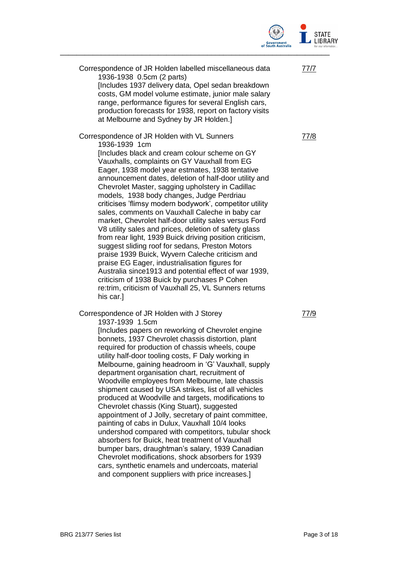

| Correspondence of JR Holden labelled miscellaneous data<br>1936-1938 0.5cm (2 parts)<br>[Includes 1937 delivery data, Opel sedan breakdown<br>costs, GM model volume estimate, junior male salary<br>range, performance figures for several English cars,                                                                                                                                                                                                                                                                                                                                                                                                                                                                                                                                                                                                                                                                                                                                                    | 77/7 |
|--------------------------------------------------------------------------------------------------------------------------------------------------------------------------------------------------------------------------------------------------------------------------------------------------------------------------------------------------------------------------------------------------------------------------------------------------------------------------------------------------------------------------------------------------------------------------------------------------------------------------------------------------------------------------------------------------------------------------------------------------------------------------------------------------------------------------------------------------------------------------------------------------------------------------------------------------------------------------------------------------------------|------|
| production forecasts for 1938, report on factory visits<br>at Melbourne and Sydney by JR Holden.]                                                                                                                                                                                                                                                                                                                                                                                                                                                                                                                                                                                                                                                                                                                                                                                                                                                                                                            |      |
| Correspondence of JR Holden with VL Sunners<br>1936-1939 1cm<br>[Includes black and cream colour scheme on GY<br>Vauxhalls, complaints on GY Vauxhall from EG<br>Eager, 1938 model year estmates, 1938 tentative<br>announcement dates, deletion of half-door utility and<br>Chevrolet Master, sagging upholstery in Cadillac<br>models, 1938 body changes, Judge Perdriau<br>criticises 'flimsy modern bodywork', competitor utility<br>sales, comments on Vauxhall Caleche in baby car<br>market, Chevrolet half-door utility sales versus Ford<br>V8 utility sales and prices, deletion of safety glass<br>from rear light, 1939 Buick driving position criticism,<br>suggest sliding roof for sedans, Preston Motors<br>praise 1939 Buick, Wyvern Caleche criticism and<br>praise EG Eager, industrialisation figures for<br>Australia since1913 and potential effect of war 1939,<br>criticism of 1938 Buick by purchases P Cohen<br>re:trim, criticism of Vauxhall 25, VL Sunners returns<br>his car.] | 77/8 |
| Correspondence of JR Holden with J Storey<br>1937-1939 1.5cm<br>[Includes papers on reworking of Chevrolet engine<br>bonnets, 1937 Chevrolet chassis distortion, plant<br>required for production of chassis wheels, coupe                                                                                                                                                                                                                                                                                                                                                                                                                                                                                                                                                                                                                                                                                                                                                                                   | 77/9 |

utility half-door tooling costs, F Daly working in Melbourne, gaining headroom in 'G' Vauxhall, supply

department organisation chart, recruitment of Woodville employees from Melbourne, late chassis shipment caused by USA strikes, list of all vehicles produced at Woodville and targets, modifications to

Chevrolet chassis (King Stuart), suggested

painting of cabs in Dulux, Vauxhall 10/4 looks

appointment of J Jolly, secretary of paint committee,

undershod compared with competitors, tubular shock absorbers for Buick, heat treatment of Vauxhall bumper bars, draughtman's salary, 1939 Canadian Chevrolet modifications, shock absorbers for 1939 cars, synthetic enamels and undercoats, material and component suppliers with price increases.]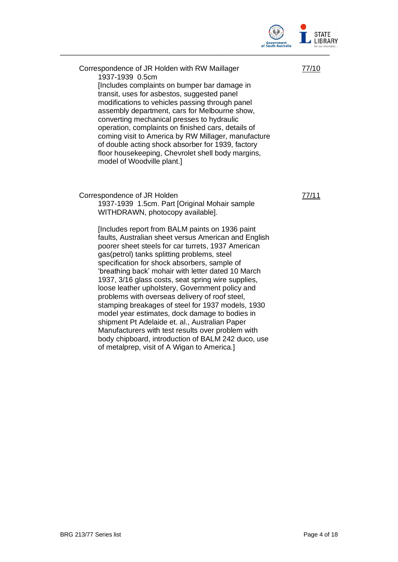

77/10

Correspondence of JR Holden with RW Maillager 1937-1939 0.5cm [Includes complaints on bumper bar damage in transit, uses for asbestos, suggested panel modifications to vehicles passing through panel assembly department, cars for Melbourne show, converting mechanical presses to hydraulic operation, complaints on finished cars, details of coming visit to America by RW Millager, manufacture of double acting shock absorber for 1939, factory floor housekeeping, Chevrolet shell body margins, model of Woodville plant.]

Correspondence of JR Holden

1937-1939 1.5cm. Part [Original Mohair sample WITHDRAWN, photocopy available].

[Includes report from BALM paints on 1936 paint faults, Australian sheet versus American and English poorer sheet steels for car turrets, 1937 American gas(petrol) tanks splitting problems, steel specification for shock absorbers, sample of 'breathing back' mohair with letter dated 10 March 1937, 3/16 glass costs, seat spring wire supplies, loose leather upholstery, Government policy and problems with overseas delivery of roof steel, stamping breakages of steel for 1937 models, 1930 model year estimates, dock damage to bodies in shipment Pt Adelaide et. al., Australian Paper Manufacturers with test results over problem with body chipboard, introduction of BALM 242 duco, use of metalprep, visit of A Wigan to America.]

77/11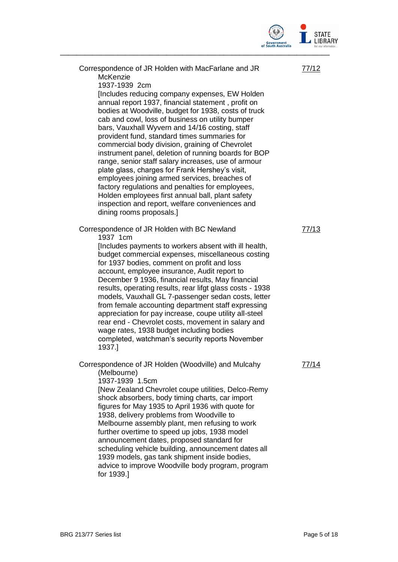

| Correspondence of JR Holden with MacFarlane and JR<br>McKenzie<br>1937-1939 2cm<br>[Includes reducing company expenses, EW Holden<br>annual report 1937, financial statement, profit on<br>bodies at Woodville, budget for 1938, costs of truck<br>cab and cowl, loss of business on utility bumper<br>bars, Vauxhall Wyvern and 14/16 costing, staff<br>provident fund, standard times summaries for<br>commercial body division, graining of Chevrolet<br>instrument panel, deletion of running boards for BOP<br>range, senior staff salary increases, use of armour<br>plate glass, charges for Frank Hershey's visit,<br>employees joining armed services, breaches of<br>factory regulations and penalties for employees,<br>Holden employees first annual ball, plant safety<br>inspection and report, welfare conveniences and<br>dining rooms proposals.] | 77/12 |
|--------------------------------------------------------------------------------------------------------------------------------------------------------------------------------------------------------------------------------------------------------------------------------------------------------------------------------------------------------------------------------------------------------------------------------------------------------------------------------------------------------------------------------------------------------------------------------------------------------------------------------------------------------------------------------------------------------------------------------------------------------------------------------------------------------------------------------------------------------------------|-------|
| Correspondence of JR Holden with BC Newland<br>1937 1cm<br>[Includes payments to workers absent with ill health,<br>budget commercial expenses, miscellaneous costing<br>for 1937 bodies, comment on profit and loss<br>account, employee insurance, Audit report to<br>December 9 1936, financial results, May financial<br>results, operating results, rear lifgt glass costs - 1938<br>models, Vauxhall GL 7-passenger sedan costs, letter<br>from female accounting department staff expressing<br>appreciation for pay increase, coupe utility all-steel<br>rear end - Chevrolet costs, movement in salary and<br>wage rates, 1938 budget including bodies<br>completed, watchman's security reports November<br>1937.]                                                                                                                                       | 77/13 |
| Correspondence of JR Holden (Woodville) and Mulcahy<br>(Melbourne)<br>1937-1939 1.5cm<br>[New Zealand Chevrolet coupe utilities, Delco-Remy<br>shock absorbers, body timing charts, car import<br>figures for May 1935 to April 1936 with quote for<br>1938, delivery problems from Woodville to<br>Melbourne assembly plant, men refusing to work<br>further overtime to speed up jobs, 1938 model<br>announcement dates, proposed standard for<br>scheduling vehicle building, announcement dates all<br>1939 models, gas tank shipment inside bodies,<br>advice to improve Woodville body program, program<br>for 1939.]                                                                                                                                                                                                                                        | 77/14 |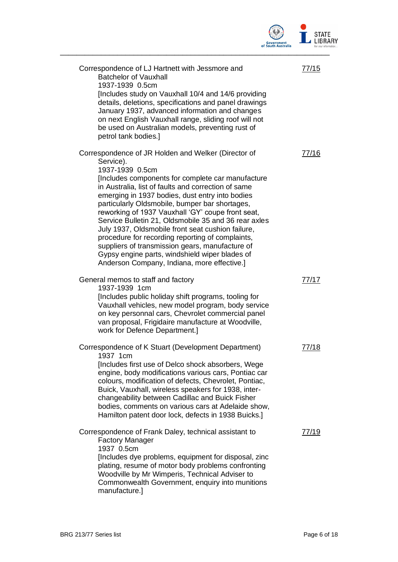

| Correspondence of LJ Hartnett with Jessmore and<br><b>Batchelor of Vauxhall</b><br>1937-1939 0.5cm                                                                                                                                                                                                                                                                                                                                                                                                                                                                                                                                                                             | 77/15 |
|--------------------------------------------------------------------------------------------------------------------------------------------------------------------------------------------------------------------------------------------------------------------------------------------------------------------------------------------------------------------------------------------------------------------------------------------------------------------------------------------------------------------------------------------------------------------------------------------------------------------------------------------------------------------------------|-------|
| [Includes study on Vauxhall 10/4 and 14/6 providing<br>details, deletions, specifications and panel drawings<br>January 1937, advanced information and changes<br>on next English Vauxhall range, sliding roof will not<br>be used on Australian models, preventing rust of<br>petrol tank bodies.]                                                                                                                                                                                                                                                                                                                                                                            |       |
| Correspondence of JR Holden and Welker (Director of<br>Service).<br>1937-1939 0.5cm<br>[Includes components for complete car manufacture<br>in Australia, list of faults and correction of same<br>emerging in 1937 bodies, dust entry into bodies<br>particularly Oldsmobile, bumper bar shortages,<br>reworking of 1937 Vauxhall 'GY' coupe front seat,<br>Service Bulletin 21, Oldsmobile 35 and 36 rear axles<br>July 1937, Oldsmobile front seat cushion failure,<br>procedure for recording reporting of complaints,<br>suppliers of transmission gears, manufacture of<br>Gypsy engine parts, windshield wiper blades of<br>Anderson Company, Indiana, more effective.] | 77/16 |
| General memos to staff and factory<br>1937-1939 1cm<br>[Includes public holiday shift programs, tooling for<br>Vauxhall vehicles, new model program, body service<br>on key personnal cars, Chevrolet commercial panel<br>van proposal, Frigidaire manufacture at Woodville,<br>work for Defence Department.]                                                                                                                                                                                                                                                                                                                                                                  | 77/17 |
| Correspondence of K Stuart (Development Department)<br>1937 1cm<br>[Includes first use of Delco shock absorbers, Wege<br>engine, body modifications various cars, Pontiac car<br>colours, modification of defects, Chevrolet, Pontiac,<br>Buick, Vauxhall, wireless speakers for 1938, inter-<br>changeability between Cadillac and Buick Fisher<br>bodies, comments on various cars at Adelaide show,<br>Hamilton patent door lock, defects in 1938 Buicks.]                                                                                                                                                                                                                  | 77/18 |
| Correspondence of Frank Daley, technical assistant to<br><b>Factory Manager</b><br>1937 0.5cm<br>[Includes dye problems, equipment for disposal, zinc<br>plating, resume of motor body problems confronting<br>Woodville by Mr Wimperis, Technical Adviser to<br>Commonwealth Government, enquiry into munitions<br>manufacture.]                                                                                                                                                                                                                                                                                                                                              | 77/19 |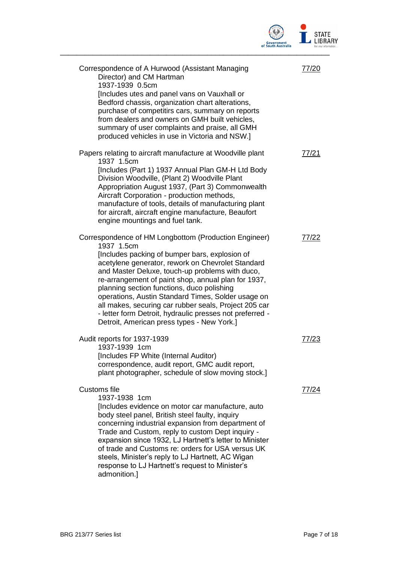

| Correspondence of A Hurwood (Assistant Managing<br>Director) and CM Hartman<br>1937-1939 0.5cm<br>[Includes utes and panel vans on Vauxhall or<br>Bedford chassis, organization chart alterations,<br>purchase of competitirs cars, summary on reports<br>from dealers and owners on GMH built vehicles,<br>summary of user complaints and praise, all GMH<br>produced vehicles in use in Victoria and NSW.]                                                                                                                                                | 77/20 |
|-------------------------------------------------------------------------------------------------------------------------------------------------------------------------------------------------------------------------------------------------------------------------------------------------------------------------------------------------------------------------------------------------------------------------------------------------------------------------------------------------------------------------------------------------------------|-------|
| Papers relating to aircraft manufacture at Woodville plant<br>1937 1.5cm<br>[Includes (Part 1) 1937 Annual Plan GM-H Ltd Body<br>Division Woodville, (Plant 2) Woodville Plant<br>Appropriation August 1937, (Part 3) Commonwealth<br>Aircraft Corporation - production methods,<br>manufacture of tools, details of manufacturing plant<br>for aircraft, aircraft engine manufacture, Beaufort<br>engine mountings and fuel tank.                                                                                                                          | 77/21 |
| Correspondence of HM Longbottom (Production Engineer)<br>1937 1.5cm<br>[Includes packing of bumper bars, explosion of<br>acetylene generator, rework on Chevrolet Standard<br>and Master Deluxe, touch-up problems with duco,<br>re-arrangement of paint shop, annual plan for 1937,<br>planning section functions, duco polishing<br>operations, Austin Standard Times, Solder usage on<br>all makes, securing car rubber seals, Project 205 car<br>- letter form Detroit, hydraulic presses not preferred -<br>Detroit, American press types - New York.] | 77/22 |
| Audit reports for 1937-1939<br>1937-1939 1cm<br>[Includes FP White (Internal Auditor)<br>correspondence, audit report, GMC audit report,<br>plant photographer, schedule of slow moving stock.]                                                                                                                                                                                                                                                                                                                                                             | 77/23 |
| Customs file<br>1937-1938 1cm<br>[Includes evidence on motor car manufacture, auto<br>body steel panel, British steel faulty, inquiry<br>concerning industrial expansion from department of<br>Trade and Custom, reply to custom Dept inquiry -<br>expansion since 1932, LJ Hartnett's letter to Minister<br>of trade and Customs re: orders for USA versus UK<br>steels, Minister's reply to LJ Hartnett, AC Wigan<br>response to LJ Hartnett's request to Minister's<br>admonition.]                                                                      | 77/24 |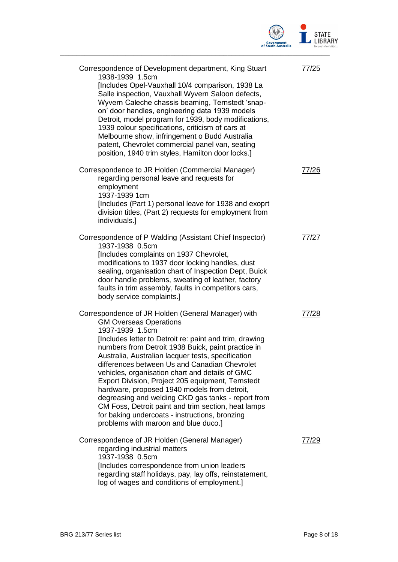

| Correspondence of Development department, King Stuart<br>1938-1939 1.5cm<br>[Includes Opel-Vauxhall 10/4 comparison, 1938 La<br>Salle inspection, Vauxhall Wyvern Saloon defects,<br>Wyvern Caleche chassis beaming, Ternstedt 'snap-<br>on' door handles, engineering data 1939 models<br>Detroit, model program for 1939, body modifications,<br>1939 colour specifications, criticism of cars at<br>Melbourne show, infringement o Budd Australia<br>patent, Chevrolet commercial panel van, seating<br>position, 1940 trim styles, Hamilton door locks.]                                                                                                                                  | 77/25 |
|-----------------------------------------------------------------------------------------------------------------------------------------------------------------------------------------------------------------------------------------------------------------------------------------------------------------------------------------------------------------------------------------------------------------------------------------------------------------------------------------------------------------------------------------------------------------------------------------------------------------------------------------------------------------------------------------------|-------|
| Correspondence to JR Holden (Commercial Manager)<br>regarding personal leave and requests for<br>employment<br>1937-1939 1cm<br>[Includes (Part 1) personal leave for 1938 and exoprt<br>division titles, (Part 2) requests for employment from<br>individuals.]                                                                                                                                                                                                                                                                                                                                                                                                                              | 77/26 |
| Correspondence of P Walding (Assistant Chief Inspector)<br>1937-1938 0.5cm<br>[Includes complaints on 1937 Chevrolet,<br>modifications to 1937 door locking handles, dust<br>sealing, organisation chart of Inspection Dept, Buick<br>door handle problems, sweating of leather, factory<br>faults in trim assembly, faults in competitors cars,<br>body service complaints.]                                                                                                                                                                                                                                                                                                                 | 77/27 |
| Correspondence of JR Holden (General Manager) with<br><b>GM Overseas Operations</b><br>1937-1939 1.5cm<br>[Includes letter to Detroit re: paint and trim, drawing<br>numbers from Detroit 1938 Buick, paint practice in<br>Australia, Australian lacquer tests, specification<br>differences between Us and Canadian Chevrolet<br>vehicles, organisation chart and details of GMC<br>Export Division, Project 205 equipment, Ternstedt<br>hardware, proposed 1940 models from detroit,<br>degreasing and welding CKD gas tanks - report from<br>CM Foss, Detroit paint and trim section, heat lamps<br>for baking undercoats - instructions, bronzing<br>problems with maroon and blue duco.] | 77/28 |
| Correspondence of JR Holden (General Manager)<br>regarding industrial matters<br>1937-1938 0.5cm<br>[Includes correspondence from union leaders<br>regarding staff holidays, pay, lay offs, reinstatement,<br>log of wages and conditions of employment.]                                                                                                                                                                                                                                                                                                                                                                                                                                     | 77/29 |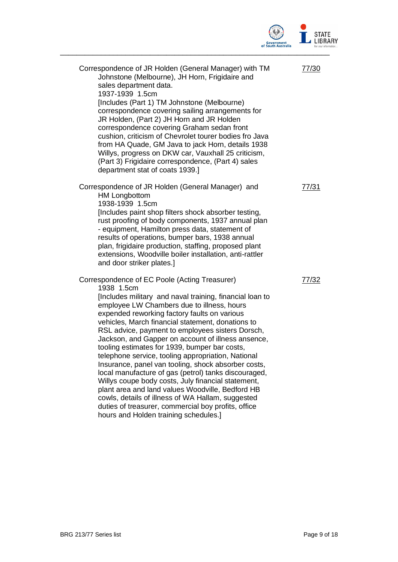

| Correspondence of JR Holden (General Manager) with TM<br>Johnstone (Melbourne), JH Horn, Frigidaire and<br>sales department data.<br>1937-1939 1.5cm<br>[Includes (Part 1) TM Johnstone (Melbourne)<br>correspondence covering sailing arrangements for<br>JR Holden, (Part 2) JH Horn and JR Holden<br>correspondence covering Graham sedan front<br>cushion, criticism of Chevrolet tourer bodies fro Java<br>from HA Quade, GM Java to jack Horn, details 1938<br>Willys, progress on DKW car, Vauxhall 25 criticism,<br>(Part 3) Frigidaire correspondence, (Part 4) sales<br>department stat of coats 1939.]                                                                                                                                                                                                                                                         | 77/30 |
|---------------------------------------------------------------------------------------------------------------------------------------------------------------------------------------------------------------------------------------------------------------------------------------------------------------------------------------------------------------------------------------------------------------------------------------------------------------------------------------------------------------------------------------------------------------------------------------------------------------------------------------------------------------------------------------------------------------------------------------------------------------------------------------------------------------------------------------------------------------------------|-------|
| Correspondence of JR Holden (General Manager) and<br><b>HM Longbottom</b><br>1938-1939 1.5cm<br>[Includes paint shop filters shock absorber testing,<br>rust proofing of body components, 1937 annual plan<br>- equipment, Hamilton press data, statement of<br>results of operations, bumper bars, 1938 annual<br>plan, frigidaire production, staffing, proposed plant<br>extensions, Woodville boiler installation, anti-rattler<br>and door striker plates.]                                                                                                                                                                                                                                                                                                                                                                                                          | 77/31 |
| Correspondence of EC Poole (Acting Treasurer)<br>1938 1.5cm<br>[Includes military and naval training, financial loan to<br>employee LW Chambers due to illness, hours<br>expended reworking factory faults on various<br>vehicles, March financial statement, donations to<br>RSL advice, payment to employees sisters Dorsch,<br>Jackson, and Gapper on account of illness ansence,<br>tooling estimates for 1939, bumper bar costs,<br>telephone service, tooling appropriation, National<br>Insurance, panel van tooling, shock absorber costs,<br>local manufacture of gas (petrol) tanks discouraged,<br>Willys coupe body costs, July financial statement,<br>plant area and land values Woodville, Bedford HB<br>cowls, details of illness of WA Hallam, suggested<br>duties of treasurer, commercial boy profits, office<br>hours and Holden training schedules.] | 77/32 |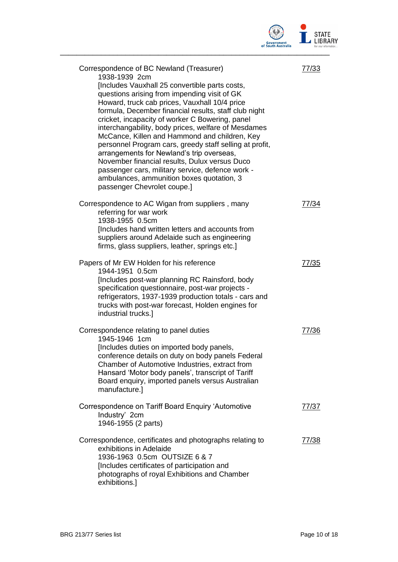

| Correspondence of BC Newland (Treasurer)<br>1938-1939 2cm<br>[Includes Vauxhall 25 convertible parts costs,<br>questions arising from impending visit of GK<br>Howard, truck cab prices, Vauxhall 10/4 price<br>formula, December financial results, staff club night<br>cricket, incapacity of worker C Bowering, panel<br>interchangability, body prices, welfare of Mesdames<br>McCance, Killen and Hammond and children, Key<br>personnel Program cars, greedy staff selling at profit,<br>arrangements for Newland's trip overseas,<br>November financial results, Dulux versus Duco<br>passenger cars, military service, defence work -<br>ambulances, ammunition boxes quotation, 3<br>passenger Chevrolet coupe.] | 77/33 |
|---------------------------------------------------------------------------------------------------------------------------------------------------------------------------------------------------------------------------------------------------------------------------------------------------------------------------------------------------------------------------------------------------------------------------------------------------------------------------------------------------------------------------------------------------------------------------------------------------------------------------------------------------------------------------------------------------------------------------|-------|
| Correspondence to AC Wigan from suppliers, many<br>referring for war work<br>1938-1955 0.5cm<br>[Includes hand written letters and accounts from<br>suppliers around Adelaide such as engineering<br>firms, glass suppliers, leather, springs etc.]                                                                                                                                                                                                                                                                                                                                                                                                                                                                       | 77/34 |
| Papers of Mr EW Holden for his reference<br>1944-1951 0.5cm<br>[Includes post-war planning RC Rainsford, body<br>specification questionnaire, post-war projects -<br>refrigerators, 1937-1939 production totals - cars and<br>trucks with post-war forecast, Holden engines for<br>industrial trucks.]                                                                                                                                                                                                                                                                                                                                                                                                                    | 77/35 |
| Correspondence relating to panel duties<br>1945-1946 1cm<br>[Includes duties on imported body panels,<br>conference details on duty on body panels Federal<br>Chamber of Automotive Industries, extract from<br>Hansard 'Motor body panels', transcript of Tariff<br>Board enquiry, imported panels versus Australian<br>manufacture.]                                                                                                                                                                                                                                                                                                                                                                                    | 77/36 |
| Correspondence on Tariff Board Enquiry 'Automotive<br>Industry' 2cm<br>1946-1955 (2 parts)                                                                                                                                                                                                                                                                                                                                                                                                                                                                                                                                                                                                                                | 77/37 |
| Correspondence, certificates and photographs relating to<br>exhibitions in Adelaide<br>1936-1963 0.5cm OUTSIZE 6 & 7<br>[Includes certificates of participation and<br>photographs of royal Exhibitions and Chamber<br>exhibitions.]                                                                                                                                                                                                                                                                                                                                                                                                                                                                                      | 77/38 |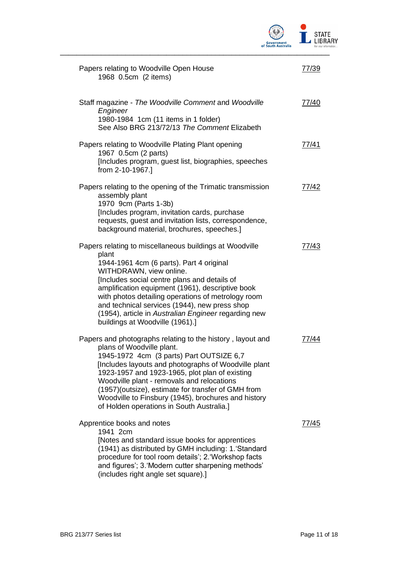

| Papers relating to Woodville Open House<br>1968 0.5cm (2 items)                                                                                                                                                                                                                                                                                                                                                                                        | 77/39 |
|--------------------------------------------------------------------------------------------------------------------------------------------------------------------------------------------------------------------------------------------------------------------------------------------------------------------------------------------------------------------------------------------------------------------------------------------------------|-------|
| Staff magazine - The Woodville Comment and Woodville<br>Engineer<br>1980-1984 1cm (11 items in 1 folder)<br>See Also BRG 213/72/13 The Comment Elizabeth                                                                                                                                                                                                                                                                                               | 77/40 |
| Papers relating to Woodville Plating Plant opening<br>1967 0.5cm (2 parts)<br>[Includes program, guest list, biographies, speeches<br>from 2-10-1967.]                                                                                                                                                                                                                                                                                                 | 77/41 |
| Papers relating to the opening of the Trimatic transmission<br>assembly plant<br>1970 9cm (Parts 1-3b)<br>[Includes program, invitation cards, purchase<br>requests, guest and invitation lists, correspondence,<br>background material, brochures, speeches.]                                                                                                                                                                                         | 77/42 |
| Papers relating to miscellaneous buildings at Woodville<br>plant<br>1944-1961 4cm (6 parts). Part 4 original<br>WITHDRAWN, view online.<br>[Includes social centre plans and details of<br>amplification equipment (1961), descriptive book<br>with photos detailing operations of metrology room<br>and technical services (1944), new press shop<br>(1954), article in Australian Engineer regarding new<br>buildings at Woodville (1961).]          | 77/43 |
| Papers and photographs relating to the history, layout and<br>plans of Woodville plant.<br>1945-1972 4cm (3 parts) Part OUTSIZE 6,7<br>[Includes layouts and photographs of Woodville plant<br>1923-1957 and 1923-1965, plot plan of existing<br>Woodville plant - removals and relocations<br>(1957) (outsize), estimate for transfer of GMH from<br>Woodville to Finsbury (1945), brochures and history<br>of Holden operations in South Australia.] | 77/44 |
| Apprentice books and notes<br>1941 2cm<br>[Notes and standard issue books for apprentices<br>(1941) as distributed by GMH including: 1. 'Standard<br>procedure for tool room details'; 2. 'Workshop facts<br>and figures'; 3. Modern cutter sharpening methods'<br>(includes right angle set square).]                                                                                                                                                 | 77745 |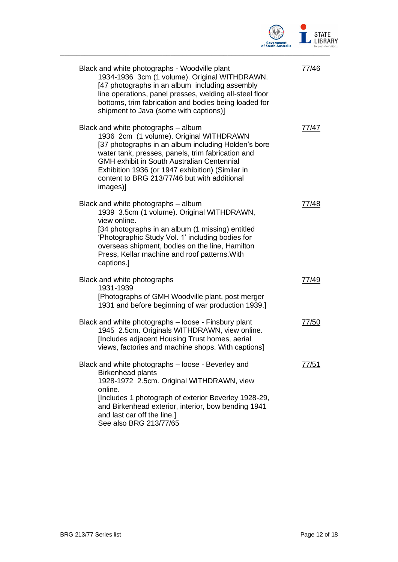

| Black and white photographs - Woodville plant<br>1934-1936 3cm (1 volume). Original WITHDRAWN.<br>[47 photographs in an album including assembly<br>line operations, panel presses, welding all-steel floor<br>bottoms, trim fabrication and bodies being loaded for<br>shipment to Java (some with captions)]                                                  | 77/46 |
|-----------------------------------------------------------------------------------------------------------------------------------------------------------------------------------------------------------------------------------------------------------------------------------------------------------------------------------------------------------------|-------|
| Black and white photographs – album<br>1936 2cm (1 volume). Original WITHDRAWN<br>[37 photographs in an album including Holden's bore<br>water tank, presses, panels, trim fabrication and<br><b>GMH exhibit in South Australian Centennial</b><br>Exhibition 1936 (or 1947 exhibition) (Similar in<br>content to BRG 213/77/46 but with additional<br>images)] | 77/47 |
| Black and white photographs – album<br>1939 3.5cm (1 volume). Original WITHDRAWN,<br>view online.<br>[34 photographs in an album (1 missing) entitled<br>'Photographic Study Vol. 1' including bodies for<br>overseas shipment, bodies on the line, Hamilton<br>Press, Kellar machine and roof patterns. With<br>captions.]                                     | 77/48 |
| Black and white photographs<br>1931-1939<br>[Photographs of GMH Woodville plant, post merger<br>1931 and before beginning of war production 1939.]                                                                                                                                                                                                              | 77/49 |
| Black and white photographs - loose - Finsbury plant<br>1945 2.5cm. Originals WITHDRAWN, view online.<br>[Includes adjacent Housing Trust homes, aerial<br>views, factories and machine shops. With captions]                                                                                                                                                   | 77/50 |
| Black and white photographs - loose - Beverley and<br><b>Birkenhead plants</b><br>1928-1972 2.5cm. Original WITHDRAWN, view<br>online.<br>[Includes 1 photograph of exterior Beverley 1928-29,<br>and Birkenhead exterior, interior, bow bending 1941<br>and last car off the line.]<br>See also BRG 213/77/65                                                  | 77/51 |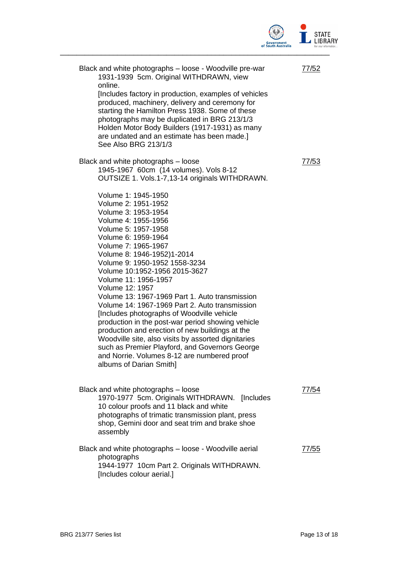

| Black and white photographs – loose - Woodville pre-war<br>1931-1939 5cm. Original WITHDRAWN, view<br>online.<br>[Includes factory in production, examples of vehicles<br>produced, machinery, delivery and ceremony for<br>starting the Hamilton Press 1938. Some of these<br>photographs may be duplicated in BRG 213/1/3<br>Holden Motor Body Builders (1917-1931) as many<br>are undated and an estimate has been made.]<br>See Also BRG 213/1/3                                                                                                                                                                                                                                                                                                   | 77/52 |
|--------------------------------------------------------------------------------------------------------------------------------------------------------------------------------------------------------------------------------------------------------------------------------------------------------------------------------------------------------------------------------------------------------------------------------------------------------------------------------------------------------------------------------------------------------------------------------------------------------------------------------------------------------------------------------------------------------------------------------------------------------|-------|
| Black and white photographs - loose<br>1945-1967 60cm (14 volumes). Vols 8-12<br>OUTSIZE 1. Vols.1-7,13-14 originals WITHDRAWN.                                                                                                                                                                                                                                                                                                                                                                                                                                                                                                                                                                                                                        | 77/53 |
| Volume 1: 1945-1950<br>Volume 2: 1951-1952<br>Volume 3: 1953-1954<br>Volume 4: 1955-1956<br>Volume 5: 1957-1958<br>Volume 6: 1959-1964<br>Volume 7: 1965-1967<br>Volume 8: 1946-1952)1-2014<br>Volume 9: 1950-1952 1558-3234<br>Volume 10:1952-1956 2015-3627<br>Volume 11: 1956-1957<br>Volume 12: 1957<br>Volume 13: 1967-1969 Part 1. Auto transmission<br>Volume 14: 1967-1969 Part 2. Auto transmission<br>[Includes photographs of Woodville vehicle]<br>production in the post-war period showing vehicle<br>production and erection of new buildings at the<br>Woodville site, also visits by assorted dignitaries<br>such as Premier Playford, and Governors George<br>and Norrie. Volumes 8-12 are numbered proof<br>albums of Darian Smith] |       |
| Black and white photographs - loose<br>1970-1977 5cm. Originals WITHDRAWN.<br><b>Includes</b><br>10 colour proofs and 11 black and white<br>photographs of trimatic transmission plant, press<br>shop, Gemini door and seat trim and brake shoe<br>assembly                                                                                                                                                                                                                                                                                                                                                                                                                                                                                            | 77/54 |
| Black and white photographs - loose - Woodville aerial<br>photographs<br>1944-1977 10cm Part 2. Originals WITHDRAWN.<br>[Includes colour aerial.]                                                                                                                                                                                                                                                                                                                                                                                                                                                                                                                                                                                                      | 77/55 |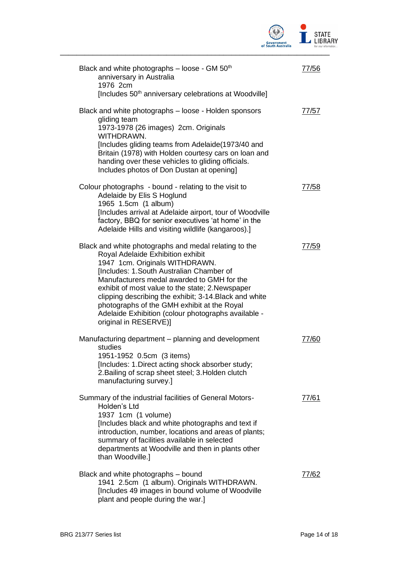

| Black and white photographs - loose - GM 50 <sup>th</sup><br>anniversary in Australia<br>1976 2cm<br>[Includes 50 <sup>th</sup> anniversary celebrations at Woodville]                                                                                                                                                                                                                                                                                                    | 77/56 |
|---------------------------------------------------------------------------------------------------------------------------------------------------------------------------------------------------------------------------------------------------------------------------------------------------------------------------------------------------------------------------------------------------------------------------------------------------------------------------|-------|
| Black and white photographs – loose - Holden sponsors<br>gliding team<br>1973-1978 (26 images) 2cm. Originals<br>WITHDRAWN.<br>[Includes gliding teams from Adelaide(1973/40 and<br>Britain (1978) with Holden courtesy cars on loan and<br>handing over these vehicles to gliding officials.<br>Includes photos of Don Dustan at opening]                                                                                                                                | 77/57 |
| Colour photographs - bound - relating to the visit to<br>Adelaide by Elis S Hoglund<br>1965 1.5cm (1 album)<br>[Includes arrival at Adelaide airport, tour of Woodville<br>factory, BBQ for senior executives 'at home' in the<br>Adelaide Hills and visiting wildlife (kangaroos).]                                                                                                                                                                                      | 77/58 |
| Black and white photographs and medal relating to the<br>Royal Adelaide Exhibition exhibit<br>1947 1cm. Originals WITHDRAWN.<br><b>Includes: 1.South Australian Chamber of</b><br>Manufacturers medal awarded to GMH for the<br>exhibit of most value to the state; 2. Newspaper<br>clipping describing the exhibit; 3-14. Black and white<br>photographs of the GMH exhibit at the Royal<br>Adelaide Exhibition (colour photographs available -<br>original in RESERVE)] | 77/59 |
| Manufacturing department – planning and development<br>studies<br>1951-1952 0.5cm (3 items)<br>[Includes: 1.Direct acting shock absorber study;<br>2. Bailing of scrap sheet steel; 3. Holden clutch<br>manufacturing survey.]                                                                                                                                                                                                                                            | 77/60 |
| Summary of the industrial facilities of General Motors-<br>Holden's Ltd<br>1937 1cm (1 volume)<br>[Includes black and white photographs and text if<br>introduction, number, locations and areas of plants;<br>summary of facilities available in selected<br>departments at Woodville and then in plants other<br>than Woodville.]                                                                                                                                       | 77/61 |
| Black and white photographs – bound<br>1941 2.5cm (1 album). Originals WITHDRAWN.<br>[Includes 49 images in bound volume of Woodville<br>plant and people during the war.]                                                                                                                                                                                                                                                                                                | 77/62 |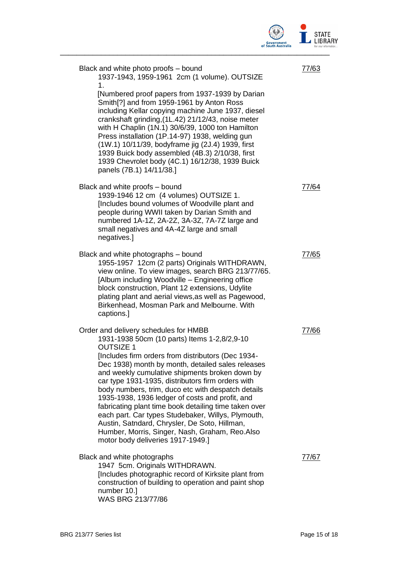

| Black and white photo proofs – bound<br>1937-1943, 1959-1961 2cm (1 volume). OUTSIZE<br>1.<br>[Numbered proof papers from 1937-1939 by Darian<br>Smith[?] and from 1959-1961 by Anton Ross<br>including Kellar copying machine June 1937, diesel<br>crankshaft grinding, (1L.42) 21/12/43, noise meter<br>with H Chaplin (1N.1) 30/6/39, 1000 ton Hamilton<br>Press installation (1P.14-97) 1938, welding gun<br>(1W.1) 10/11/39, bodyframe jig (2J.4) 1939, first<br>1939 Buick body assembled (4B.3) 2/10/38, first<br>1939 Chevrolet body (4C.1) 16/12/38, 1939 Buick                                                                                                                    | 77/63 |
|---------------------------------------------------------------------------------------------------------------------------------------------------------------------------------------------------------------------------------------------------------------------------------------------------------------------------------------------------------------------------------------------------------------------------------------------------------------------------------------------------------------------------------------------------------------------------------------------------------------------------------------------------------------------------------------------|-------|
| panels (7B.1) 14/11/38.]<br>Black and white proofs – bound<br>1939-1946 12 cm (4 volumes) OUTSIZE 1.<br>[Includes bound volumes of Woodville plant and<br>people during WWII taken by Darian Smith and<br>numbered 1A-1Z, 2A-2Z, 3A-3Z, 7A-7Z large and<br>small negatives and 4A-4Z large and small<br>negatives.]                                                                                                                                                                                                                                                                                                                                                                         | 77/64 |
| Black and white photographs – bound<br>1955-1957 12cm (2 parts) Originals WITHDRAWN,<br>view online. To view images, search BRG 213/77/65.<br>[Album including Woodville - Engineering office<br>block construction, Plant 12 extensions, Udylite<br>plating plant and aerial views, as well as Pagewood,<br>Birkenhead, Mosman Park and Melbourne. With<br>captions.]                                                                                                                                                                                                                                                                                                                      | 77/65 |
| Order and delivery schedules for HMBB<br>1931-1938 50cm (10 parts) Items 1-2,8/2,9-10<br><b>OUTSIZE 1</b><br>[Includes firm orders from distributors (Dec 1934-<br>Dec 1938) month by month, detailed sales releases<br>and weekly cumulative shipments broken down by<br>car type 1931-1935, distributors firm orders with<br>body numbers, trim, duco etc with despatch details<br>1935-1938, 1936 ledger of costs and profit, and<br>fabricating plant time book detailing time taken over<br>each part. Car types Studebaker, Willys, Plymouth,<br>Austin, Satndard, Chrysler, De Soto, Hillman,<br>Humber, Morris, Singer, Nash, Graham, Reo.Also<br>motor body deliveries 1917-1949.] | 77/66 |
| Black and white photographs<br>1947 5cm. Originals WITHDRAWN.<br>[Includes photographic record of Kirksite plant from<br>construction of building to operation and paint shop<br>number 10.]<br>WAS BRG 213/77/86                                                                                                                                                                                                                                                                                                                                                                                                                                                                           | 77/67 |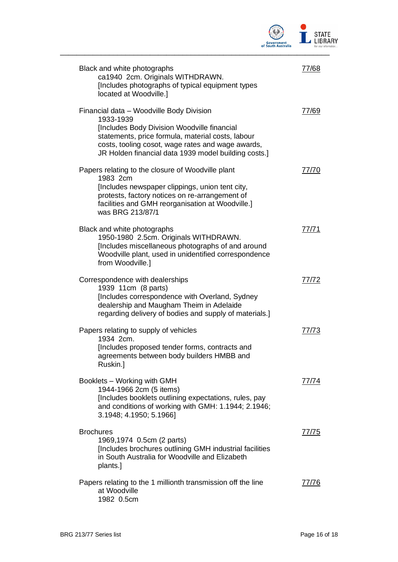

| Black and white photographs<br>ca1940 2cm. Originals WITHDRAWN.<br>[Includes photographs of typical equipment types<br>located at Woodville.]                                                                                                                          | 77/68        |
|------------------------------------------------------------------------------------------------------------------------------------------------------------------------------------------------------------------------------------------------------------------------|--------------|
| Financial data - Woodville Body Division<br>1933-1939<br>[Includes Body Division Woodville financial<br>statements, price formula, material costs, labour<br>costs, tooling cosot, wage rates and wage awards,<br>JR Holden financial data 1939 model building costs.] | 77/69        |
| Papers relating to the closure of Woodville plant<br>1983 2cm<br>[Includes newspaper clippings, union tent city,<br>protests, factory notices on re-arrangement of<br>facilities and GMH reorganisation at Woodville.]<br>was BRG 213/87/1                             | 77/70        |
| Black and white photographs<br>1950-1980 2.5cm. Originals WITHDRAWN.<br>[Includes miscellaneous photographs of and around<br>Woodville plant, used in unidentified correspondence<br>from Woodville.]                                                                  | 77/71        |
| Correspondence with dealerships<br>1939 11cm (8 parts)<br>[Includes correspondence with Overland, Sydney<br>dealership and Maugham Theim in Adelaide<br>regarding delivery of bodies and supply of materials.]                                                         | 77/72        |
| Papers relating to supply of vehicles<br>1934 2cm.<br>[Includes proposed tender forms, contracts and<br>agreements between body builders HMBB and<br>Ruskin.]                                                                                                          | 77/73        |
| Booklets - Working with GMH<br>1944-1966 2cm (5 items)<br>[Includes booklets outlining expectations, rules, pay<br>and conditions of working with GMH: 1.1944; 2.1946;<br>3.1948; 4.1950; 5.1966]                                                                      | (1/1/4)      |
| <b>Brochures</b><br>1969,1974 0.5cm (2 parts)<br>[Includes brochures outlining GMH industrial facilities<br>in South Australia for Woodville and Elizabeth<br>plants.]                                                                                                 | <u>77/75</u> |
| Papers relating to the 1 millionth transmission off the line<br>at Woodville<br>1982 0.5cm                                                                                                                                                                             | 7776         |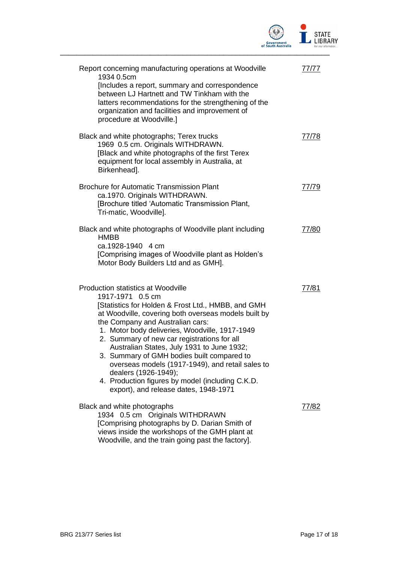

| Report concerning manufacturing operations at Woodville<br>1934 0.5cm<br>[Includes a report, summary and correspondence<br>between LJ Hartnett and TW Tinkham with the<br>latters recommendations for the strengthening of the<br>organization and facilities and improvement of<br>procedure at Woodville.]                                                                                                                                                                                                                                                                          | 77/77 |
|---------------------------------------------------------------------------------------------------------------------------------------------------------------------------------------------------------------------------------------------------------------------------------------------------------------------------------------------------------------------------------------------------------------------------------------------------------------------------------------------------------------------------------------------------------------------------------------|-------|
| Black and white photographs; Terex trucks<br>1969 0.5 cm. Originals WITHDRAWN.<br>[Black and white photographs of the first Terex<br>equipment for local assembly in Australia, at<br>Birkenhead].                                                                                                                                                                                                                                                                                                                                                                                    | 77/78 |
| <b>Brochure for Automatic Transmission Plant</b><br>ca.1970. Originals WITHDRAWN.<br>[Brochure titled 'Automatic Transmission Plant,<br>Tri-matic, Woodville].                                                                                                                                                                                                                                                                                                                                                                                                                        | 77/79 |
| Black and white photographs of Woodville plant including<br><b>HMBB</b><br>ca.1928-1940 4 cm<br>[Comprising images of Woodville plant as Holden's<br>Motor Body Builders Ltd and as GMH].                                                                                                                                                                                                                                                                                                                                                                                             | 77/80 |
| <b>Production statistics at Woodville</b><br>1917-1971 0.5 cm<br>[Statistics for Holden & Frost Ltd., HMBB, and GMH<br>at Woodville, covering both overseas models built by<br>the Company and Australian cars:<br>1. Motor body deliveries, Woodville, 1917-1949<br>2. Summary of new car registrations for all<br>Australian States, July 1931 to June 1932;<br>3. Summary of GMH bodies built compared to<br>overseas models (1917-1949), and retail sales to<br>dealers (1926-1949);<br>4. Production figures by model (including C.K.D.<br>export), and release dates, 1948-1971 | 77/81 |
| Black and white photographs<br>1934 0.5 cm Originals WITHDRAWN<br>[Comprising photographs by D. Darian Smith of<br>views inside the workshops of the GMH plant at<br>Woodville, and the train going past the factory].                                                                                                                                                                                                                                                                                                                                                                | 77/82 |